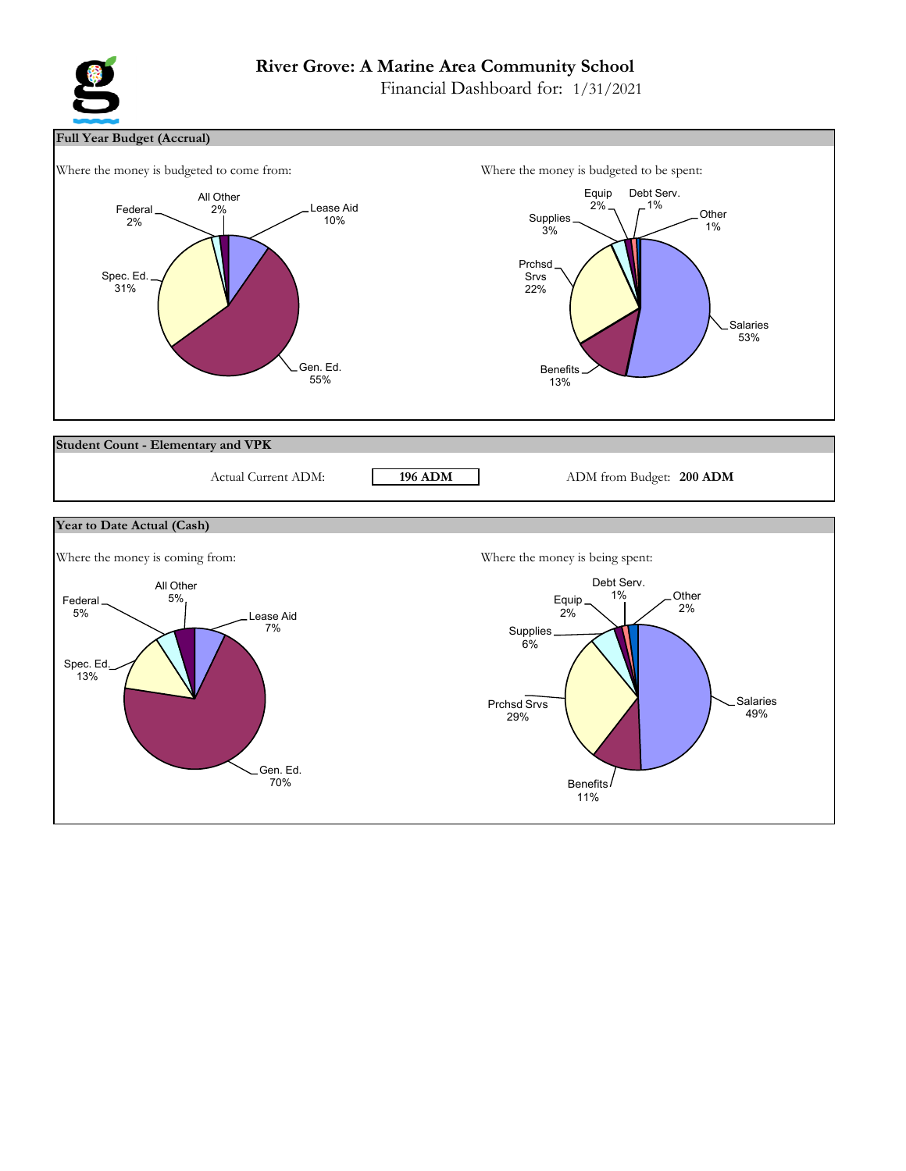# **River Grove: A Marine Area Community School**

Financial Dashboard for: 1/31/2021



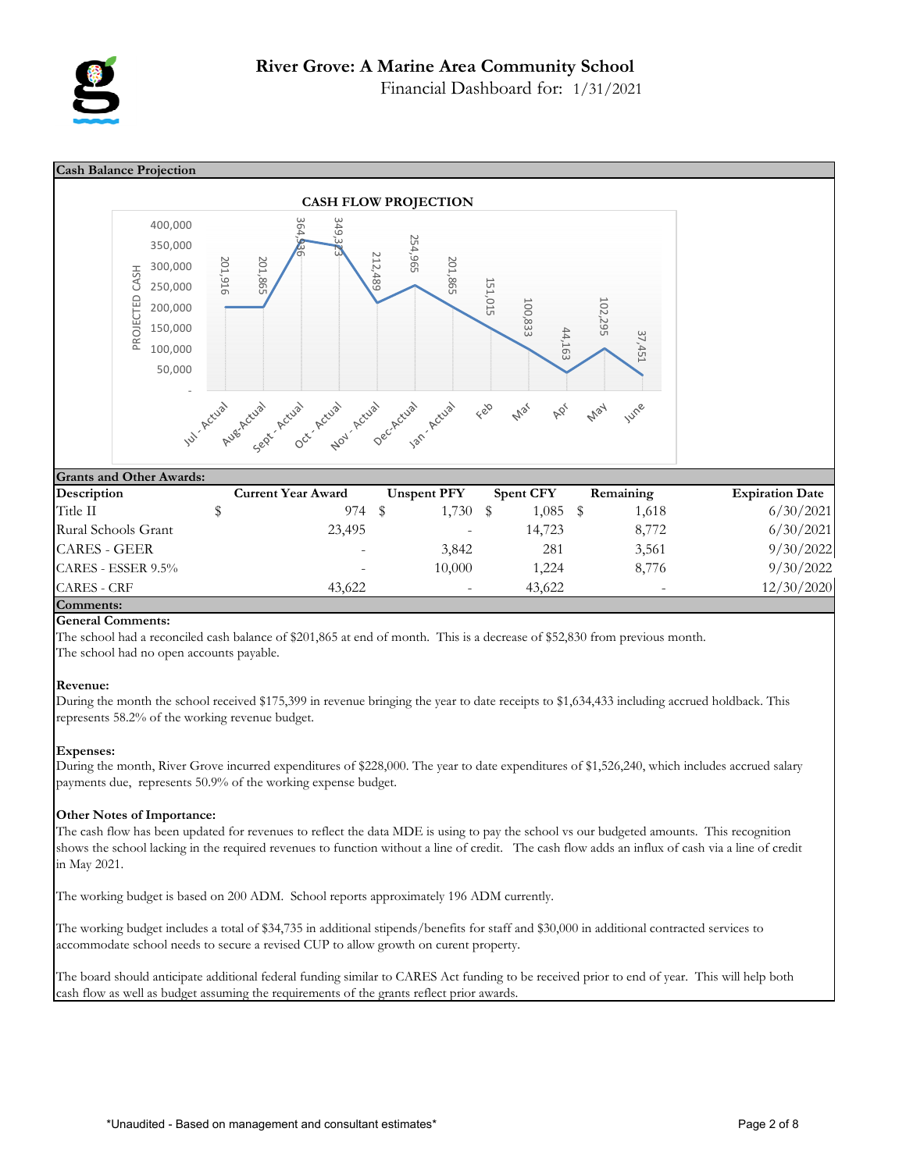

Financial Dashboard for: 1/31/2021



## **General Comments:**

The school had a reconciled cash balance of \$201,865 at end of month. This is a decrease of \$52,830 from previous month. The school had no open accounts payable.

## **Revenue:**

During the month the school received \$175,399 in revenue bringing the year to date receipts to \$1,634,433 including accrued holdback. This represents 58.2% of the working revenue budget.

## **Expenses:**

During the month, River Grove incurred expenditures of \$228,000. The year to date expenditures of \$1,526,240, which includes accrued salary payments due, represents 50.9% of the working expense budget.

## **Other Notes of Importance:**

The cash flow has been updated for revenues to reflect the data MDE is using to pay the school vs our budgeted amounts. This recognition shows the school lacking in the required revenues to function without a line of credit. The cash flow adds an influx of cash via a line of credit in May 2021.

The working budget is based on 200 ADM. School reports approximately 196 ADM currently.

The working budget includes a total of \$34,735 in additional stipends/benefits for staff and \$30,000 in additional contracted services to accommodate school needs to secure a revised CUP to allow growth on curent property.

The board should anticipate additional federal funding similar to CARES Act funding to be received prior to end of year. This will help both cash flow as well as budget assuming the requirements of the grants reflect prior awards.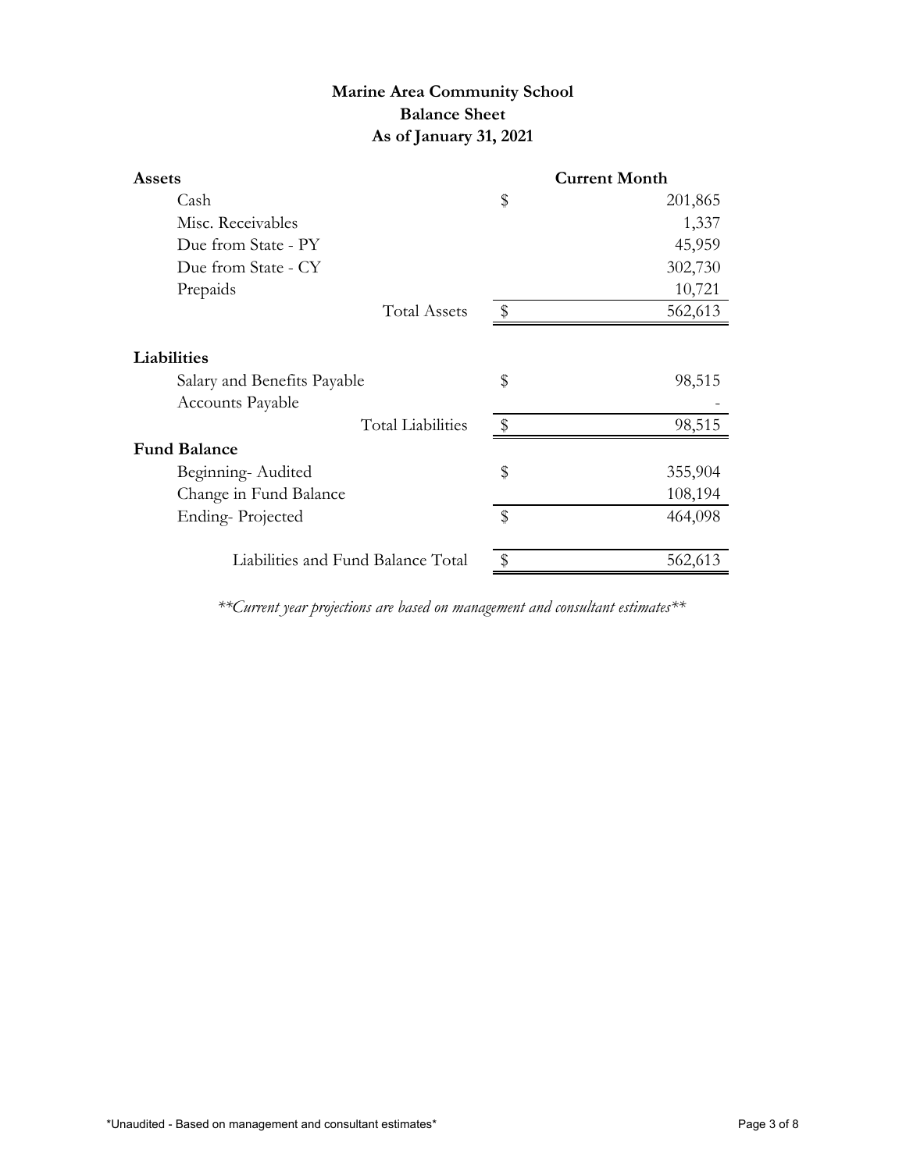# **Marine Area Community School Balance Sheet As of January 31, 2021**

| <b>Assets</b>                      |                         | <b>Current Month</b> |
|------------------------------------|-------------------------|----------------------|
| Cash                               | \$                      | 201,865              |
| Misc. Receivables                  |                         | 1,337                |
| Due from State - PY                |                         | 45,959               |
| Due from State - CY                |                         | 302,730              |
| Prepaids                           |                         | 10,721               |
| <b>Total Assets</b>                | $\frac{1}{2}$           | 562,613              |
| Liabilities                        |                         |                      |
| Salary and Benefits Payable        | \$                      | 98,515               |
| Accounts Payable                   |                         |                      |
| <b>Total Liabilities</b>           | $\sqrt[6]{\frac{1}{2}}$ | 98,515               |
| <b>Fund Balance</b>                |                         |                      |
| Beginning-Audited                  | \$                      | 355,904              |
| Change in Fund Balance             |                         | 108,194              |
| Ending-Projected                   | \$                      | 464,098              |
| Liabilities and Fund Balance Total |                         | 562,613              |

*\*\*Current year projections are based on management and consultant estimates\*\**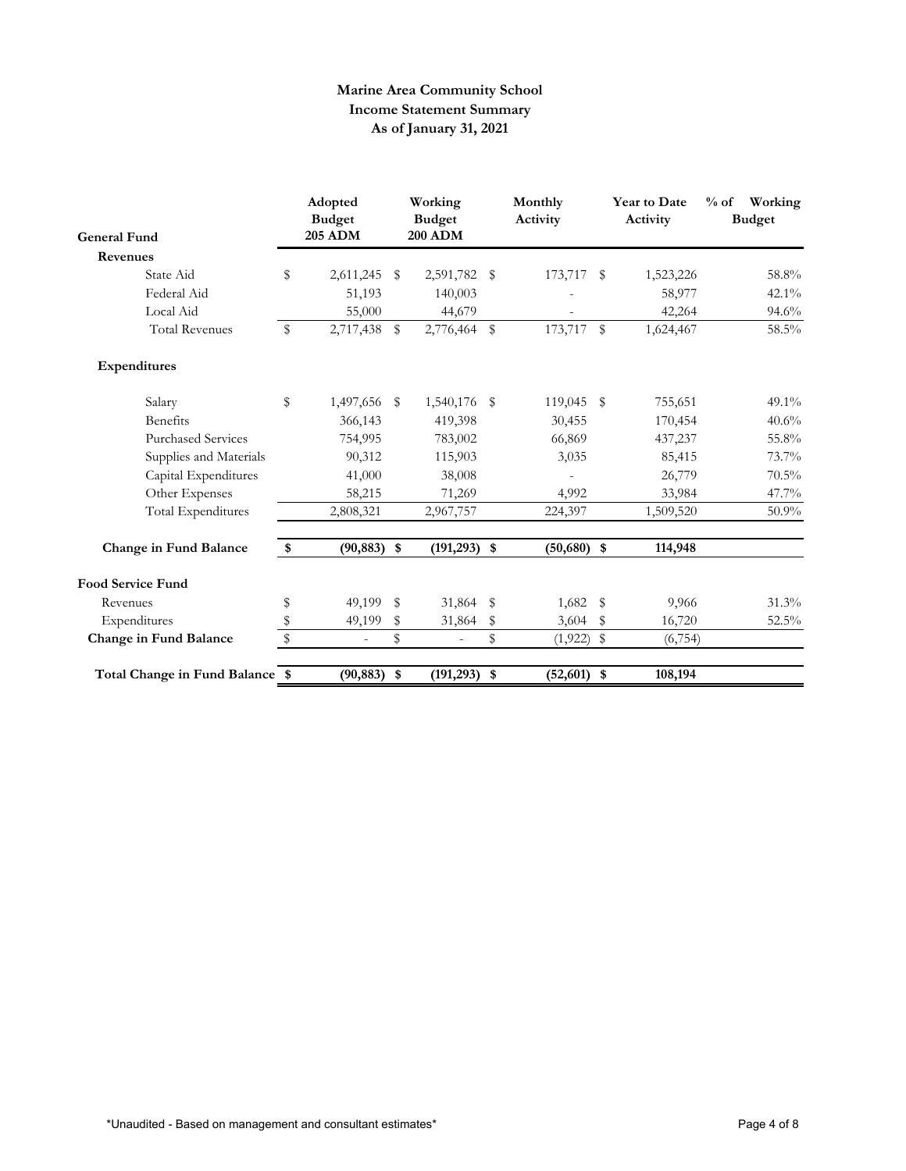## **Marine Area Community School Income Statement Summary As of January 31, 2021**

| <b>General Fund</b>             |    | Adopted<br><b>Budget</b><br><b>205 ADM</b> |            | Working<br><b>Budget</b><br><b>200 ADM</b> |      | Monthly<br>Activity |              | <b>Year to Date</b><br>Activity | $%$ of<br>Working<br><b>Budget</b> |
|---------------------------------|----|--------------------------------------------|------------|--------------------------------------------|------|---------------------|--------------|---------------------------------|------------------------------------|
| Revenues                        |    |                                            |            |                                            |      |                     |              |                                 |                                    |
| State Aid                       | \$ | 2,611,245                                  | $^{\circ}$ | 2,591,782                                  | - \$ | 173,717             | - \$         | 1,523,226                       | 58.8%                              |
| Federal Aid                     |    | 51,193                                     |            | 140,003                                    |      |                     |              | 58,977                          | $42.1\%$                           |
| Local Aid                       |    | 55,000                                     |            | 44,679                                     |      |                     |              | 42,264                          | 94.6%                              |
| <b>Total Revenues</b>           | \$ | 2,717,438 \$                               |            | 2,776,464 \$                               |      | 173,717             | $\mathbb{S}$ | 1,624,467                       | 58.5%                              |
| Expenditures                    |    |                                            |            |                                            |      |                     |              |                                 |                                    |
| Salary                          | \$ | 1,497,656 \$                               |            | 1,540,176 \$                               |      | 119,045 \$          |              | 755,651                         | $49.1\%$                           |
| <b>Benefits</b>                 |    | 366,143                                    |            | 419,398                                    |      | 30,455              |              | 170,454                         | 40.6%                              |
| <b>Purchased Services</b>       |    | 754,995                                    |            | 783,002                                    |      | 66,869              |              | 437,237                         | 55.8%                              |
| Supplies and Materials          |    | 90,312                                     |            | 115,903                                    |      | 3,035               |              | 85,415                          | 73.7%                              |
| Capital Expenditures            |    | 41,000                                     |            | 38,008                                     |      |                     |              | 26,779                          | $70.5\%$                           |
| Other Expenses                  |    | 58,215                                     |            | 71,269                                     |      | 4,992               |              | 33,984                          | 47.7%                              |
| Total Expenditures              |    | 2,808,321                                  |            | 2,967,757                                  |      | 224,397             |              | 1,509,520                       | 50.9%                              |
| Change in Fund Balance          | \$ | $(90, 883)$ \$                             |            | $(191, 293)$ \$                            |      | $(50,680)$ \$       |              | 114,948                         |                                    |
| <b>Food Service Fund</b>        |    |                                            |            |                                            |      |                     |              |                                 |                                    |
| Revenues                        | \$ | 49,199 \$                                  |            | 31,864 \$                                  |      | $1,682$ \$          |              | 9,966                           | 31.3%                              |
| Expenditures                    | \$ | 49,199                                     | \$         | 31,864                                     | \$   | 3,604               | \$           | 16,720                          | 52.5%                              |
| Change in Fund Balance          | \$ | $\bar{a}$                                  | \$         |                                            | \$   | $(1,922)$ \$        |              | (6,754)                         |                                    |
| Total Change in Fund Balance \$ |    | $(90, 883)$ \$                             |            | $(191, 293)$ \$                            |      | $(52,601)$ \$       |              | 108,194                         |                                    |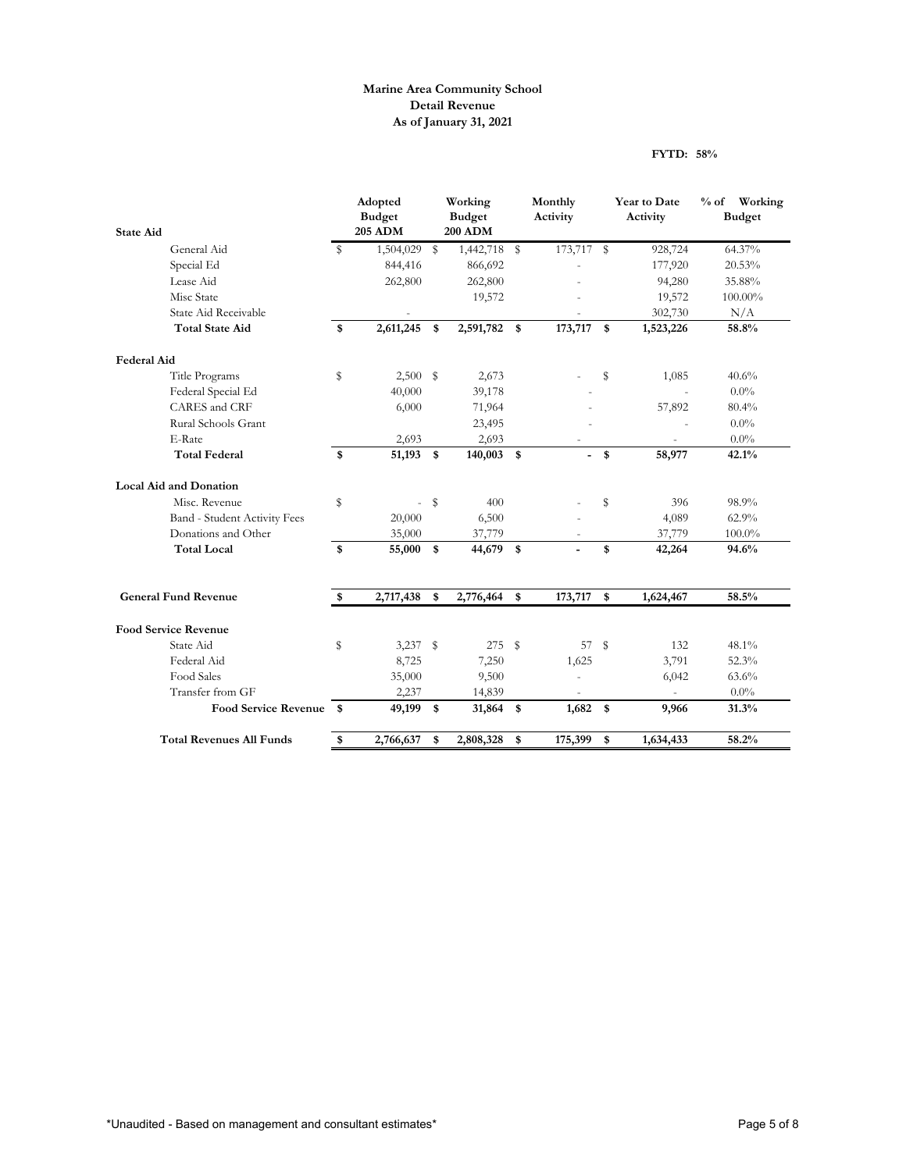## **Marine Area Community School Detail Revenue As of January 31, 2021**

## **FYTD: 58%**

| <b>State Aid</b>                |      | Adopted<br><b>Budget</b><br><b>205 ADM</b> |               | Working<br><b>Budget</b><br><b>200 ADM</b> | Monthly<br>Activity | Year to Date<br>Activity | % of Working<br><b>Budget</b> |
|---------------------------------|------|--------------------------------------------|---------------|--------------------------------------------|---------------------|--------------------------|-------------------------------|
|                                 |      |                                            |               |                                            |                     |                          |                               |
| General Aid                     | S    | 1,504,029                                  | \$            | 1,442,718 \$                               | 173,717 \$          | 928,724                  | 64.37%                        |
| Special Ed                      |      | 844,416                                    |               | 866,692                                    |                     | 177,920                  | 20.53%                        |
| Lease Aid                       |      | 262,800                                    |               | 262,800                                    |                     | 94,280                   | 35.88%                        |
| Misc State                      |      |                                            |               | 19,572                                     |                     | 19,572                   | 100.00%                       |
| State Aid Receivable            |      |                                            |               |                                            |                     | 302,730                  | N/A                           |
| <b>Total State Aid</b>          | \$   | 2,611,245                                  | \$            | 2,591,782 \$                               | 173,717             | \$<br>1,523,226          | 58.8%                         |
| <b>Federal Aid</b>              |      |                                            |               |                                            |                     |                          |                               |
| Title Programs                  | \$   | 2,500                                      | $\sqrt[6]{3}$ | 2,673                                      |                     | \$<br>1,085              | 40.6%                         |
| Federal Special Ed              |      | 40,000                                     |               | 39,178                                     |                     | $\bar{a}$                | $0.0\%$                       |
| CARES and CRF                   |      | 6,000                                      |               | 71,964                                     |                     | 57,892                   | 80.4%                         |
| Rural Schools Grant             |      |                                            |               | 23,495                                     |                     |                          | 0.0%                          |
| E-Rate                          |      | 2,693                                      |               | 2,693                                      |                     |                          | 0.0%                          |
| <b>Total Federal</b>            | \$   | 51,193                                     | \$            | $140,003$ \$                               |                     | \$<br>58,977             | 42.1%                         |
| <b>Local Aid and Donation</b>   |      |                                            |               |                                            |                     |                          |                               |
| Misc. Revenue                   | \$   | $\bar{a}$                                  | \$            | 400                                        |                     | \$<br>396                | 98.9%                         |
| Band - Student Activity Fees    |      | 20,000                                     |               | 6,500                                      |                     | 4,089                    | 62.9%                         |
| Donations and Other             |      | 35,000                                     |               | 37,779                                     |                     | 37,779                   | $100.0\%$                     |
| <b>Total Local</b>              | \$   | 55,000                                     | \$            | 44,679 \$                                  |                     | \$<br>42,264             | 94.6%                         |
|                                 |      |                                            |               |                                            |                     |                          |                               |
| <b>General Fund Revenue</b>     | \$   | 2,717,438                                  | \$            | 2,776,464                                  | \$<br>173,717       | \$<br>1,624,467          | 58.5%                         |
| <b>Food Service Revenue</b>     |      |                                            |               |                                            |                     |                          |                               |
| State Aid                       | \$   | 3,237                                      | S             | 275S                                       | 57 \$               | 132                      | 48.1%                         |
| Federal Aid                     |      | 8,725                                      |               | 7,250                                      | 1,625               | 3,791                    | 52.3%                         |
| Food Sales                      |      | 35,000                                     |               | 9,500                                      |                     | 6,042                    | 63.6%                         |
| Transfer from GF                |      | 2,237                                      |               | 14,839                                     |                     |                          | $0.0\%$                       |
| <b>Food Service Revenue</b>     | - \$ | 49,199                                     | \$            | 31,864                                     | \$<br>1,682         | \$<br>9,966              | 31.3%                         |
| <b>Total Revenues All Funds</b> | \$   | 2,766,637                                  | \$            | 2,808,328                                  | \$<br>175,399       | \$<br>1,634,433          | 58.2%                         |
|                                 |      |                                            |               |                                            |                     |                          |                               |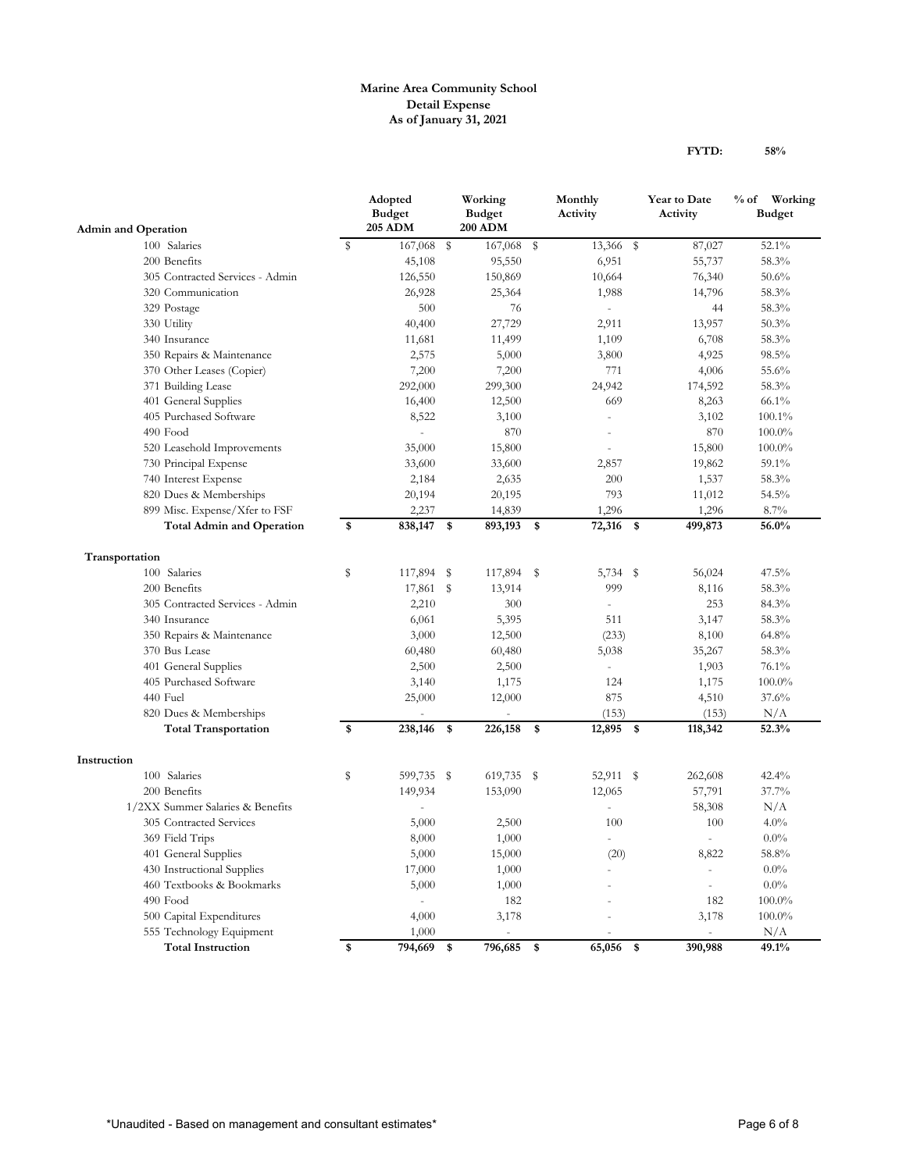## **Marine Area Community School Detail Expense As of January 31, 2021**

|                                            |                                            |    | Adopted<br><b>Budget</b><br><b>205 ADM</b> | Working<br><b>Budget</b><br><b>200 ADM</b> |    | Monthly<br>Activity |               | Year to Date<br>Activity | % of Working<br><b>Budget</b> |
|--------------------------------------------|--------------------------------------------|----|--------------------------------------------|--------------------------------------------|----|---------------------|---------------|--------------------------|-------------------------------|
| <b>Admin and Operation</b><br>100 Salaries |                                            | s  | 167,068 \$                                 | 167,068                                    | s  | 13,366 \$           |               | 87,027                   | 52.1%                         |
|                                            | 200 Benefits                               |    | 45,108                                     | 95,550                                     |    | 6,951               |               | 55,737                   | 58.3%                         |
|                                            | 305 Contracted Services - Admin            |    | 126,550                                    | 150,869                                    |    | 10,664              |               | 76,340                   | 50.6%                         |
|                                            | 320 Communication                          |    | 26,928                                     | 25,364                                     |    | 1,988               |               | 14,796                   | 58.3%                         |
|                                            | 329 Postage                                |    | 500                                        | 76                                         |    |                     |               | 44                       | 58.3%                         |
|                                            | 330 Utility                                |    | 40,400                                     | 27,729                                     |    | 2,911               |               | 13,957                   | 50.3%                         |
|                                            | 340 Insurance                              |    | 11,681                                     | 11,499                                     |    | 1,109               |               | 6,708                    | 58.3%                         |
|                                            | 350 Repairs & Maintenance                  |    | 2,575                                      | 5,000                                      |    | 3,800               |               | 4,925                    | 98.5%                         |
|                                            |                                            |    |                                            | 7,200                                      |    | 771                 |               | 4,006                    | 55.6%                         |
|                                            | 370 Other Leases (Copier)                  |    | 7,200                                      |                                            |    |                     |               |                          | 58.3%                         |
|                                            | 371 Building Lease<br>401 General Supplies |    | 292,000<br>16,400                          | 299,300<br>12,500                          |    | 24,942<br>669       |               | 174,592<br>8,263         | 66.1%                         |
|                                            | 405 Purchased Software                     |    | 8,522                                      | 3,100                                      |    |                     |               | 3,102                    | 100.1%                        |
|                                            | 490 Food                                   |    | ÷.                                         | 870                                        |    |                     |               | 870                      | $100.0\%$                     |
|                                            | 520 Leasehold Improvements                 |    | 35,000                                     | 15,800                                     |    |                     |               | 15,800                   | $100.0\%$                     |
|                                            |                                            |    | 33,600                                     |                                            |    | 2,857               |               |                          | 59.1%                         |
|                                            | 730 Principal Expense                      |    |                                            | 33,600                                     |    | 200                 |               | 19,862<br>1,537          |                               |
|                                            | 740 Interest Expense                       |    | 2,184                                      | 2,635                                      |    |                     |               |                          | 58.3%                         |
|                                            | 820 Dues & Memberships                     |    | 20,194                                     | 20,195                                     |    | 793                 |               | 11,012                   | 54.5%                         |
|                                            | 899 Misc. Expense/Xfer to FSF              |    | 2,237                                      | 14,839                                     |    | 1,296               |               | 1,296                    | 8.7%                          |
|                                            | <b>Total Admin and Operation</b>           | \$ | 838,147                                    | \$<br>893,193                              | \$ | 72,316              | $\sqrt[6]{3}$ | 499,873                  | 56.0%                         |
| Transportation                             |                                            |    |                                            |                                            |    |                     |               |                          |                               |
|                                            | 100 Salaries                               | S  | 117,894 \$                                 | 117,894 \$                                 |    | 5,734 \$            |               | 56,024                   | 47.5%                         |
|                                            | 200 Benefits                               |    | 17,861                                     | \$<br>13,914                               |    | 999                 |               | 8,116                    | 58.3%                         |
|                                            | 305 Contracted Services - Admin            |    | 2,210                                      | 300                                        |    | $\overline{a}$      |               | 253                      | 84.3%                         |
|                                            | 340 Insurance                              |    | 6,061                                      | 5,395                                      |    | 511                 |               | 3,147                    | 58.3%                         |
|                                            | 350 Repairs & Maintenance                  |    | 3,000                                      | 12,500                                     |    | (233)               |               | 8,100                    | 64.8%                         |
|                                            | 370 Bus Lease                              |    | 60,480                                     | 60,480                                     |    | 5,038               |               | 35,267                   | 58.3%                         |
|                                            | 401 General Supplies                       |    | 2,500                                      | 2,500                                      |    | $\equiv$            |               | 1,903                    | 76.1%                         |
|                                            | 405 Purchased Software                     |    | 3,140                                      | 1,175                                      |    | 124                 |               | 1,175                    | 100.0%                        |
|                                            | 440 Fuel                                   |    | 25,000                                     | 12,000                                     |    | 875                 |               | 4,510                    | 37.6%                         |
|                                            | 820 Dues & Memberships                     |    |                                            |                                            |    | (153)               |               | (153)                    | N/A                           |
|                                            | <b>Total Transportation</b>                | \$ | 238,146                                    | \$<br>226,158                              | \$ | 12,895 \$           |               | 118,342                  | 52.3%                         |
|                                            |                                            |    |                                            |                                            |    |                     |               |                          |                               |
| Instruction                                |                                            |    |                                            |                                            |    |                     |               |                          |                               |
|                                            | 100 Salaries                               | S  | 599,735 \$                                 | 619,735 \$                                 |    | 52,911 \$           |               | 262,608                  | 42.4%                         |
|                                            | 200 Benefits                               |    | 149,934                                    | 153,090                                    |    | 12,065              |               | 57,791                   | 37.7%                         |
|                                            | 1/2XX Summer Salaries & Benefits           |    | ä,                                         |                                            |    | $\overline{a}$      |               | 58,308                   | N/A                           |
|                                            | 305 Contracted Services                    |    | 5,000                                      | 2,500                                      |    | 100                 |               | 100                      | 4.0%                          |
|                                            | 369 Field Trips                            |    | 8,000                                      | 1,000                                      |    | ÷                   |               | ä,                       | $0.0\%$                       |

401 General Supplies 5,000 15,000 (20) 8,822 58.8% 430 Instructional Supplies 17,000 1,000 - 0.0% - 0.0% 460 Textbooks & Bookmarks 5,000 1,000 - - 0.0% 490 Food 182 100.0% 182 182 100.0% 182 182 100.0% 500 Capital Expenditures 4,000 3,178 - 3,178 100.0% 555 Technology Equipment 1,000 - - - - - N/A **Total Instruction \$ 794,669 \$ 796,685 \$ 65,056 \$ 390,988 49.1%**

**FYTD: 58%**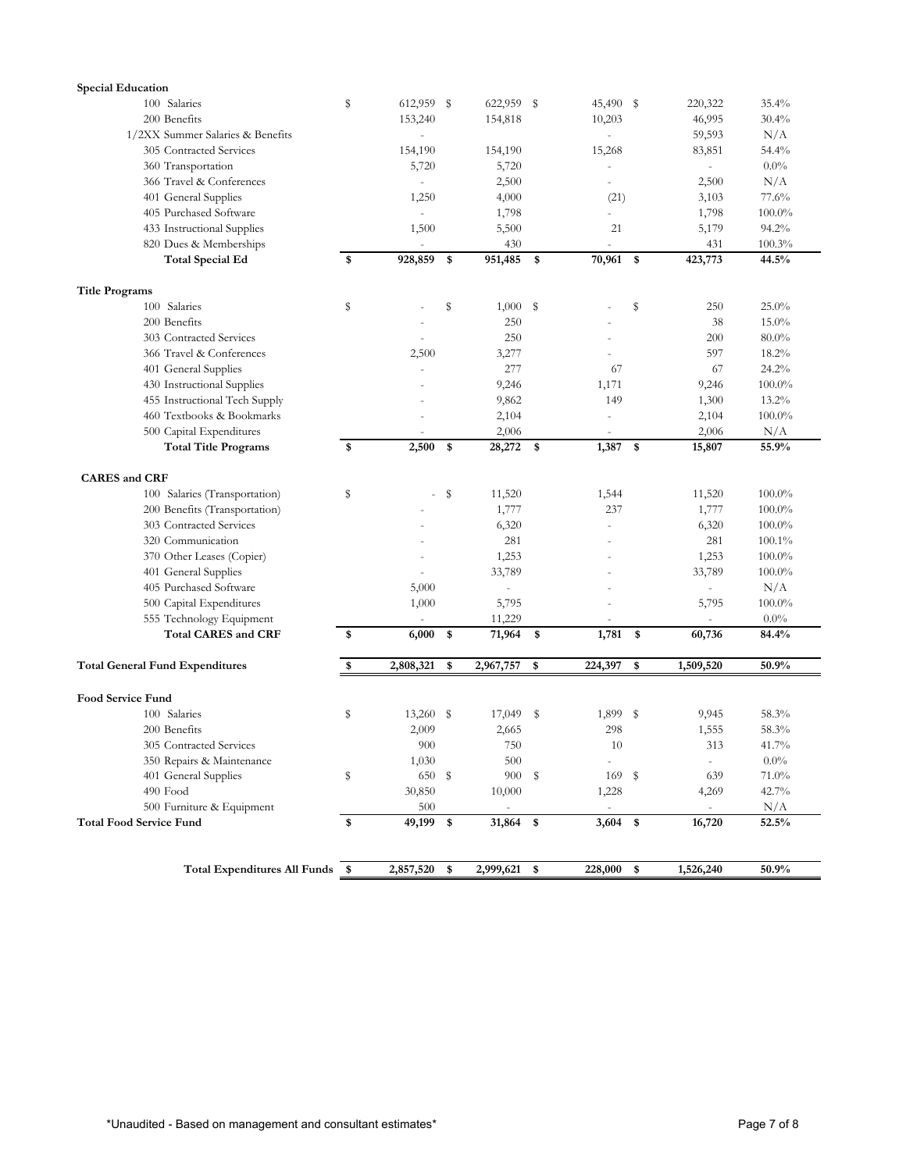| <b>Special Education</b>               |    |                          |                          |                          |            |                                 |           |
|----------------------------------------|----|--------------------------|--------------------------|--------------------------|------------|---------------------------------|-----------|
| 100 Salaries                           | S  | 612,959 \$               | 622,959 \$               | 45,490 \$                |            | 220,322                         | 35.4%     |
| 200 Benefits                           |    | 153,240                  | 154,818                  | 10,203                   |            | 46,995                          | 30.4%     |
| 1/2XX Summer Salaries & Benefits       |    | ÷.                       |                          |                          |            | 59,593                          | N/A       |
| 305 Contracted Services                |    | 154,190                  | 154,190                  | 15,268                   |            | 83,851                          | 54.4%     |
| 360 Transportation                     |    | 5,720                    | 5,720                    |                          |            |                                 | $0.0\%$   |
| 366 Travel & Conferences               |    | $\sim$                   | 2,500                    | $\overline{a}$           |            | 2,500                           | N/A       |
| 401 General Supplies                   |    | 1,250                    | 4,000                    | (21)                     |            | 3,103                           | 77.6%     |
| 405 Purchased Software                 |    | $\overline{\phantom{a}}$ | 1,798                    | $\overline{a}$           |            | 1,798                           | $100.0\%$ |
| 433 Instructional Supplies             |    | 1,500                    | 5,500                    | 21                       |            | 5,179                           | 94.2%     |
| 820 Dues & Memberships                 |    |                          | 430                      |                          |            | 431                             | 100.3%    |
| <b>Total Special Ed</b>                | \$ | 928,859                  | \$<br>951,485            | \$<br>70,961 \$          |            | 423,773                         | 44.5%     |
| <b>Title Programs</b>                  |    |                          |                          |                          |            |                                 |           |
| 100 Salaries                           | s  |                          | \$<br>1,000              | \$                       | S          | 250                             | 25.0%     |
| 200 Benefits                           |    |                          | 250                      |                          |            | 38                              | 15.0%     |
| 303 Contracted Services                |    |                          | 250                      |                          |            | 200                             | $80.0\%$  |
| 366 Travel & Conferences               |    | 2,500                    | 3,277                    |                          |            | 597                             | 18.2%     |
| 401 General Supplies                   |    | ä,                       | 277                      | 67                       |            | 67                              | 24.2%     |
| 430 Instructional Supplies             |    |                          | 9,246                    | 1,171                    |            | 9,246                           | $100.0\%$ |
| 455 Instructional Tech Supply          |    |                          | 9,862                    | 149                      |            | 1,300                           | 13.2%     |
| 460 Textbooks & Bookmarks              |    |                          | 2,104                    | i,                       |            | 2,104                           | $100.0\%$ |
| 500 Capital Expenditures               |    |                          | 2,006                    |                          |            | 2,006                           | N/A       |
| <b>Total Title Programs</b>            | \$ | 2,500                    | \$<br>28,272             | \$<br>1,387              | $\sqrt{3}$ | 15,807                          | 55.9%     |
|                                        |    |                          |                          |                          |            |                                 |           |
| <b>CARES</b> and CRF                   |    |                          |                          |                          |            |                                 |           |
| 100 Salaries (Transportation)          | S  |                          | \$<br>11,520             | 1,544                    |            | 11,520                          | $100.0\%$ |
| 200 Benefits (Transportation)          |    |                          | 1,777                    | 237                      |            | 1,777                           | 100.0%    |
| 303 Contracted Services                |    |                          | 6,320                    |                          |            | 6,320                           | $100.0\%$ |
| 320 Communication                      |    |                          | 281                      |                          |            | 281                             | 100.1%    |
| 370 Other Leases (Copier)              |    |                          | 1,253                    |                          |            | 1,253                           | 100.0%    |
| 401 General Supplies                   |    |                          | 33,789                   |                          |            | 33,789                          | $100.0\%$ |
| 405 Purchased Software                 |    | 5,000                    | $\bar{a}$                |                          |            | $\overline{a}$                  | N/A       |
| 500 Capital Expenditures               |    | 1,000                    | 5,795                    |                          |            | 5,795                           | $100.0\%$ |
| 555 Technology Equipment               |    |                          | 11,229                   |                          |            | $\centering \label{eq:reduced}$ | $0.0\%$   |
| <b>Total CARES and CRF</b>             | \$ | 6,000                    | \$<br>71,964             | \$<br>1,781              | \$         | 60,736                          | 84.4%     |
| <b>Total General Fund Expenditures</b> | \$ | 2,808,321                | \$<br>2,967,757          | \$<br>224,397            | \$         | 1,509,520                       | 50.9%     |
|                                        |    |                          |                          |                          |            |                                 |           |
| <b>Food Service Fund</b>               |    |                          |                          |                          |            |                                 |           |
| 100 Salaries                           | s  | $13,260$ \$              | 17,049                   | \$<br>1,899              | -S         | 9,945                           | 58.3%     |
| 200 Benefits                           |    | 2,009                    | 2,665                    | 298                      |            | 1,555                           | 58.3%     |
| 305 Contracted Services                |    | $900\,$                  | 750                      | $10\,$                   |            | 313                             | $41.7\%$  |
| 350 Repairs & Maintenance              |    | 1,030                    | 500                      | $\overline{\phantom{a}}$ |            | $\overline{\phantom{a}}$        | $0.0\%$   |
| 401 General Supplies                   | \$ | 650 \$                   | 900                      | \$<br>169 \$             |            | 639                             | 71.0%     |
| 490 Food                               |    | 30,850                   | 10,000                   | 1,228                    |            | 4,269                           | 42.7%     |
| 500 Furniture & Equipment              |    | 500                      | $\overline{\phantom{a}}$ | $\overline{\phantom{a}}$ |            | $\overline{\phantom{a}}$        | N/A       |
| <b>Total Food Service Fund</b>         | \$ | 49,199 \$                | 31,864 \$                | $3,604$ \$               |            | 16,720                          | 52.5%     |
|                                        |    |                          |                          |                          |            |                                 |           |
| Total Expenditures All Funds \$        |    | 2,857,520                | \$<br>2,999,621          | \$<br>228,000            | \$         | 1,526,240                       | 50.9%     |